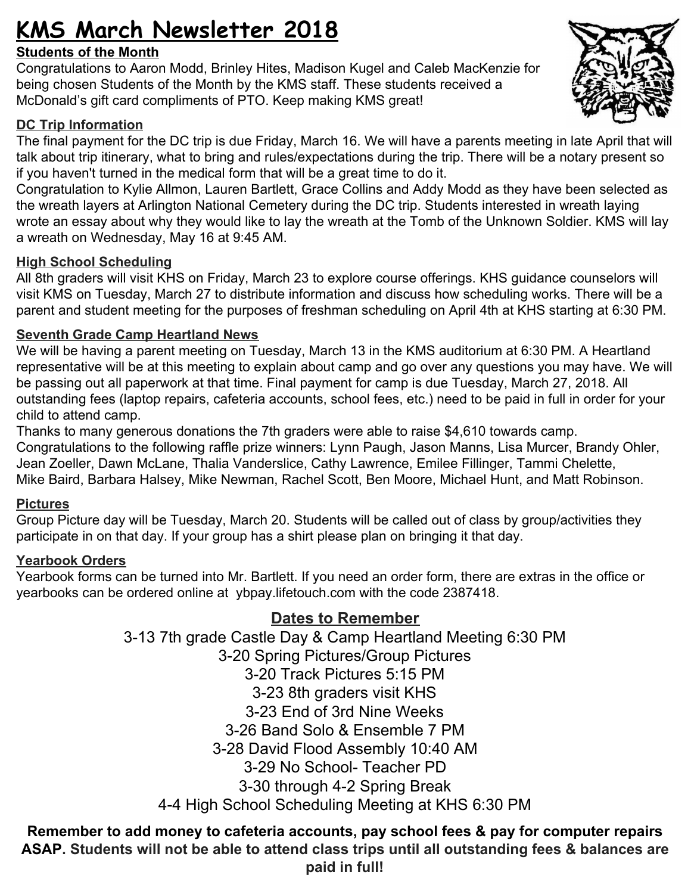# **KMS March Newsletter 2018**

## **Students of the Month**

Congratulations to Aaron Modd, Brinley Hites, Madison Kugel and Caleb MacKenzie for being chosen Students of the Month by the KMS staff. These students received a McDonald's gift card compliments of PTO. Keep making KMS great!

# **DC Trip Information**

The final payment for the DC trip is due Friday, March 16. We will have a parents meeting in late April that will talk about trip itinerary, what to bring and rules/expectations during the trip. There will be a notary present so if you haven't turned in the medical form that will be a great time to do it.

Congratulation to Kylie Allmon, Lauren Bartlett, Grace Collins and Addy Modd as they have been selected as the wreath layers at Arlington National Cemetery during the DC trip. Students interested in wreath laying wrote an essay about why they would like to lay the wreath at the Tomb of the Unknown Soldier. KMS will lay a wreath on Wednesday, May 16 at 9:45 AM.

## **High School Scheduling**

All 8th graders will visit KHS on Friday, March 23 to explore course offerings. KHS guidance counselors will visit KMS on Tuesday, March 27 to distribute information and discuss how scheduling works. There will be a parent and student meeting for the purposes of freshman scheduling on April 4th at KHS starting at 6:30 PM.

## **Seventh Grade Camp Heartland News**

We will be having a parent meeting on Tuesday, March 13 in the KMS auditorium at 6:30 PM. A Heartland representative will be at this meeting to explain about camp and go over any questions you may have. We will be passing out all paperwork at that time. Final payment for camp is due Tuesday, March 27, 2018. All outstanding fees (laptop repairs, cafeteria accounts, school fees, etc.) need to be paid in full in order for your child to attend camp.

Thanks to many generous donations the 7th graders were able to raise \$4,610 towards camp. Congratulations to the following raffle prize winners: Lynn Paugh, Jason Manns, Lisa Murcer, Brandy Ohler, Jean Zoeller, Dawn McLane, Thalia Vanderslice, Cathy Lawrence, Emilee Fillinger, Tammi Chelette, Mike Baird, Barbara Halsey, Mike Newman, Rachel Scott, Ben Moore, Michael Hunt, and Matt Robinson.

### **Pictures**

Group Picture day will be Tuesday, March 20. Students will be called out of class by group/activities they participate in on that day. If your group has a shirt please plan on bringing it that day.

## **Yearbook Orders**

Yearbook forms can be turned into Mr. Bartlett. If you need an order form, there are extras in the office or yearbooks can be ordered online at [ybpay.lifetouch.com](http://ybpay.lifetouch.com/) with the code 2387418.

# **Dates to Remember**

3-13 7th grade Castle Day & Camp Heartland Meeting 6:30 PM 3-20 Spring Pictures/Group Pictures 3-20 Track Pictures 5:15 PM 3-23 8th graders visit KHS 3-23 End of 3rd Nine Weeks 3-26 Band Solo & Ensemble 7 PM 3-28 David Flood Assembly 10:40 AM 3-29 No School- Teacher PD 3-30 through 4-2 Spring Break 4-4 High School Scheduling Meeting at KHS 6:30 PM

## **Remember to add money to cafeteria accounts, pay school fees & pay for computer repairs ASAP. Students will not be able to attend class trips until all outstanding fees & balances are paid in full!**